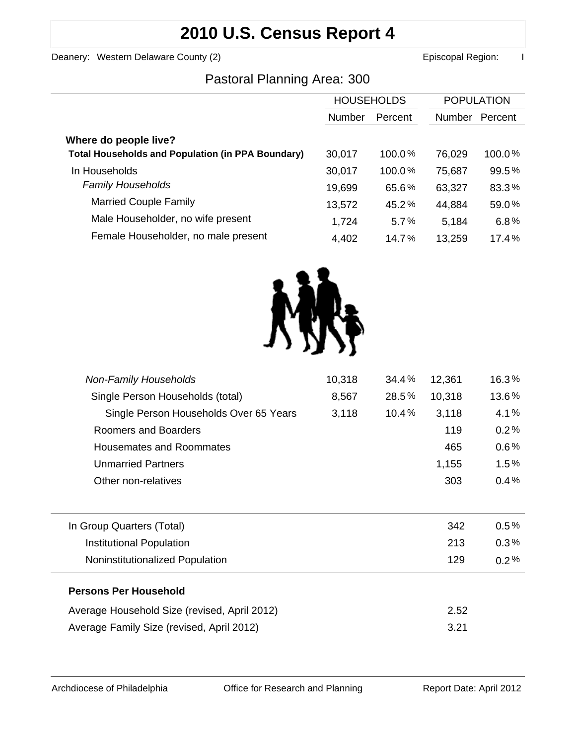# **2010 U.S. Census Report 4**

Deanery: Western Delaware County (2) **Example 2 Example 2 According County County County County County County County County County County County County County County County County County County County County County County** 

### Pastoral Planning Area: 300

|                                                          | <b>HOUSEHOLDS</b> |           | <b>POPULATION</b> |         |
|----------------------------------------------------------|-------------------|-----------|-------------------|---------|
|                                                          | Number            | Percent   | Number            | Percent |
| Where do people live?                                    |                   |           |                   |         |
| <b>Total Households and Population (in PPA Boundary)</b> | 30,017            | 100.0%    | 76,029            | 100.0%  |
| In Households                                            | 30,017            | $100.0\%$ | 75,687            | 99.5%   |
| <b>Family Households</b>                                 | 19,699            | 65.6%     | 63,327            | 83.3%   |
| <b>Married Couple Family</b>                             | 13,572            | 45.2%     | 44,884            | 59.0%   |
| Male Householder, no wife present                        | 1,724             | 5.7%      | 5,184             | 6.8%    |
| Female Householder, no male present                      | 4,402             | 14.7%     | 13,259            | 17.4%   |



| <b>Non-Family Households</b>                 | 10,318 | 34.4% | 12,361 | 16.3%   |
|----------------------------------------------|--------|-------|--------|---------|
| Single Person Households (total)             | 8,567  | 28.5% | 10,318 | 13.6%   |
| Single Person Households Over 65 Years       | 3,118  | 10.4% | 3,118  | 4.1%    |
| Roomers and Boarders                         |        |       | 119    | 0.2%    |
| <b>Housemates and Roommates</b>              |        |       | 465    | 0.6%    |
| <b>Unmarried Partners</b>                    |        |       | 1,155  | 1.5%    |
| Other non-relatives                          |        |       | 303    | 0.4%    |
|                                              |        |       |        |         |
| In Group Quarters (Total)                    |        |       | 342    | $0.5\%$ |
| Institutional Population                     |        |       | 213    | $0.3\%$ |
| Noninstitutionalized Population              |        |       | 129    | $0.2\%$ |
| <b>Persons Per Household</b>                 |        |       |        |         |
| Average Household Size (revised, April 2012) |        |       | 2.52   |         |
| Average Family Size (revised, April 2012)    |        |       | 3.21   |         |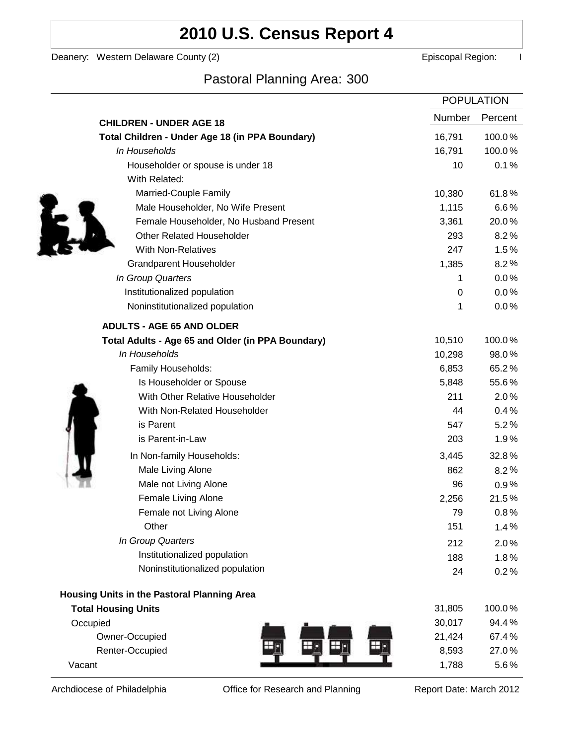# **2010 U.S. Census Report 4**

Deanery: Western Delaware County (2) Deanery: Western Delaware County (2)

l,

Ì

## Pastoral Planning Area: 300

|                                                   | <b>POPULATION</b> |         |
|---------------------------------------------------|-------------------|---------|
| <b>CHILDREN - UNDER AGE 18</b>                    | <b>Number</b>     | Percent |
| Total Children - Under Age 18 (in PPA Boundary)   | 16,791            | 100.0%  |
| In Households                                     | 16,791            | 100.0%  |
| Householder or spouse is under 18                 | 10                | 0.1%    |
| With Related:                                     |                   |         |
| Married-Couple Family                             | 10,380            | 61.8%   |
| Male Householder, No Wife Present                 | 1,115             | 6.6%    |
| Female Householder, No Husband Present            | 3,361             | 20.0%   |
| <b>Other Related Householder</b>                  | 293               | 8.2%    |
| <b>With Non-Relatives</b>                         | 247               | 1.5%    |
| Grandparent Householder                           | 1,385             | 8.2%    |
| In Group Quarters                                 | 1                 | 0.0%    |
| Institutionalized population                      | 0                 | 0.0%    |
| Noninstitutionalized population                   | 1                 | 0.0%    |
| <b>ADULTS - AGE 65 AND OLDER</b>                  |                   |         |
| Total Adults - Age 65 and Older (in PPA Boundary) | 10,510            | 100.0%  |
| In Households                                     | 10,298            | 98.0%   |
| Family Households:                                | 6,853             | 65.2%   |
| Is Householder or Spouse                          | 5,848             | 55.6%   |
| With Other Relative Householder                   | 211               | 2.0%    |
| With Non-Related Householder                      | 44                | 0.4%    |
| is Parent                                         | 547               | 5.2%    |
| is Parent-in-Law                                  | 203               | 1.9%    |
| In Non-family Households:                         | 3,445             | 32.8%   |
| Male Living Alone                                 | 862               | 8.2%    |
| Male not Living Alone                             | 96                | $0.9\%$ |
| Female Living Alone                               | 2,256             | 21.5%   |
| Female not Living Alone                           | 79                | $0.8\%$ |
| Other                                             | 151               | 1.4%    |
| In Group Quarters                                 | 212               | 2.0%    |
| Institutionalized population                      | 188               | 1.8%    |
| Noninstitutionalized population                   | 24                | 0.2%    |
| Housing Units in the Pastoral Planning Area       |                   |         |
| <b>Total Housing Units</b>                        | 31,805            | 100.0%  |
| Occupied                                          | 30,017            | 94.4%   |
| Owner-Occupied                                    | 21,424            | 67.4%   |
| Renter-Occupied                                   | 8,593             | 27.0%   |
| Vacant                                            | 1,788             | 5.6%    |

Archdiocese of Philadelphia **Office for Research and Planning** Report Date: March 2012